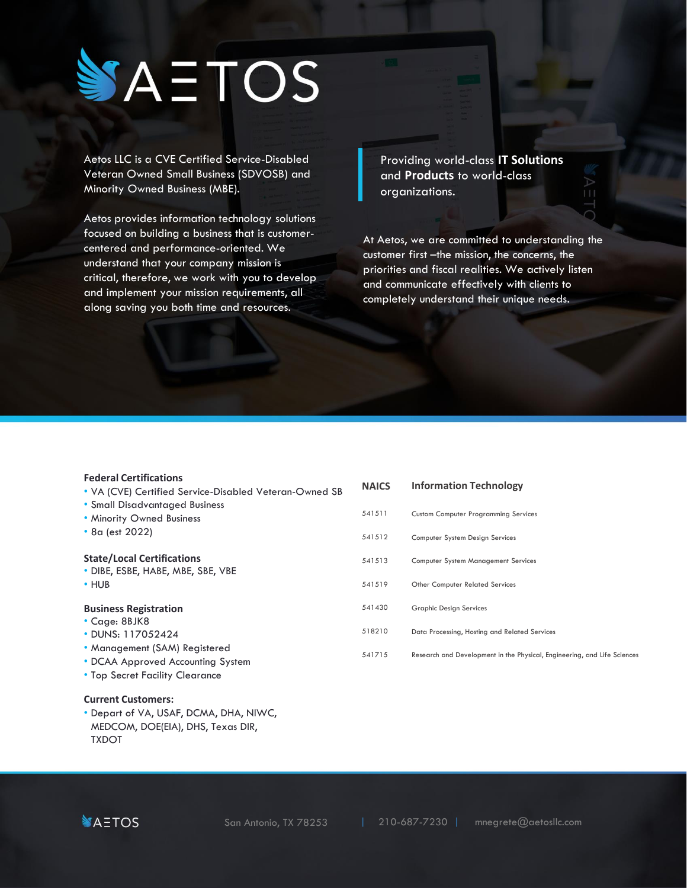# YAETOS

Aetos LLC is a CVE Certified Service-Disabled Veteran Owned Small Business (SDVOSB) and Minority Owned Business (MBE).

Aetos provides information technology solutions focused on building a business that is customercentered and performance-oriented. We understand that your company mission is critical, therefore, we work with you to develop and implement your mission requirements, all along saving you both time and resources.

Providing world-class **IT Solutions**  and **Products** to world-class organizations.

At Aetos, we are committed to understanding the customer first –the mission, the concerns, the priorities and fiscal realities. We actively listen and communicate effectively with clients to completely understand their unique needs.

#### **Federal Certifications**

- VA (CVE) Certified Service-Disabled Veteran-Owned SB
- Small Disadvantaged Business
- Minority Owned Business
- 8a (est 2022)

#### **State/Local Certifications**

- DIBE, ESBE, HABE, MBE, SBE, VBE
- HUB

#### **Business Registration**

- Cage: 8BJK8
- DUNS: 117052424
- Management (SAM) Registered
- DCAA Approved Accounting System
- Top Secret Facility Clearance

# **Current Customers:**

• Depart of VA, USAF, DCMA, DHA, NIWC, MEDCOM, DOE(EIA), DHS, Texas DIR, TXDOT

**NAICS**  541511 541512 541513 541519 541430 518210 541715 **Information Technology** Custom Computer Programming Services Computer System Design Services Computer System Management Services Other Computer Related Services Graphic Design Services Data Processing, Hosting and Related Services Research and Development in the Physical, Engineering, and Life Sciences